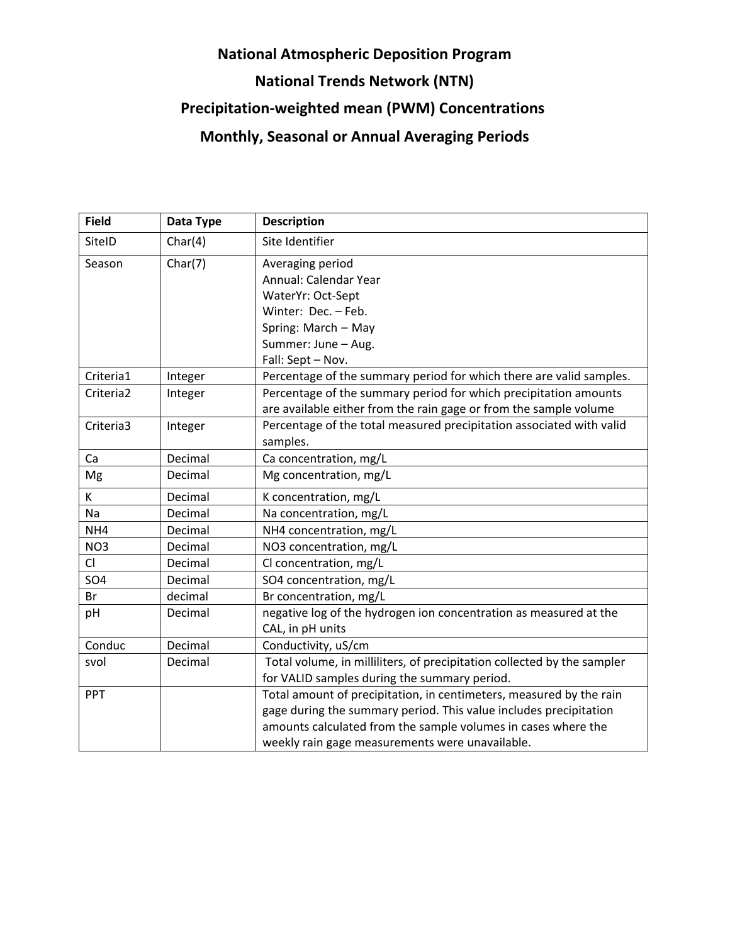## **National Atmospheric Deposition Program National Trends Network (NTN) Precipitation-weighted mean (PWM) Concentrations Monthly, Seasonal or Annual Averaging Periods**

| <b>Field</b>    | Data Type | <b>Description</b>                                                      |
|-----------------|-----------|-------------------------------------------------------------------------|
| SiteID          | Char(4)   | Site Identifier                                                         |
| Season          | Char(7)   | Averaging period                                                        |
|                 |           | Annual: Calendar Year                                                   |
|                 |           | WaterYr: Oct-Sept                                                       |
|                 |           | Winter: Dec. - Feb.                                                     |
|                 |           | Spring: March - May                                                     |
|                 |           | Summer: June - Aug.                                                     |
|                 |           | Fall: Sept - Nov.                                                       |
| Criteria1       | Integer   | Percentage of the summary period for which there are valid samples.     |
| Criteria2       | Integer   | Percentage of the summary period for which precipitation amounts        |
|                 |           | are available either from the rain gage or from the sample volume       |
| Criteria3       | Integer   | Percentage of the total measured precipitation associated with valid    |
|                 |           | samples.                                                                |
| Ca              | Decimal   | Ca concentration, mg/L                                                  |
| Mg              | Decimal   | Mg concentration, mg/L                                                  |
| K               | Decimal   | K concentration, mg/L                                                   |
| Na              | Decimal   | Na concentration, mg/L                                                  |
| NH4             | Decimal   | NH4 concentration, mg/L                                                 |
| NO <sub>3</sub> | Decimal   | NO3 concentration, mg/L                                                 |
| CI              | Decimal   | Cl concentration, mg/L                                                  |
| SO <sub>4</sub> | Decimal   | SO4 concentration, mg/L                                                 |
| Br              | decimal   | Br concentration, mg/L                                                  |
| pH              | Decimal   | negative log of the hydrogen ion concentration as measured at the       |
|                 |           | CAL, in pH units                                                        |
| Conduc          | Decimal   | Conductivity, uS/cm                                                     |
| svol            | Decimal   | Total volume, in milliliters, of precipitation collected by the sampler |
|                 |           | for VALID samples during the summary period.                            |
| PPT             |           | Total amount of precipitation, in centimeters, measured by the rain     |
|                 |           | gage during the summary period. This value includes precipitation       |
|                 |           | amounts calculated from the sample volumes in cases where the           |
|                 |           | weekly rain gage measurements were unavailable.                         |